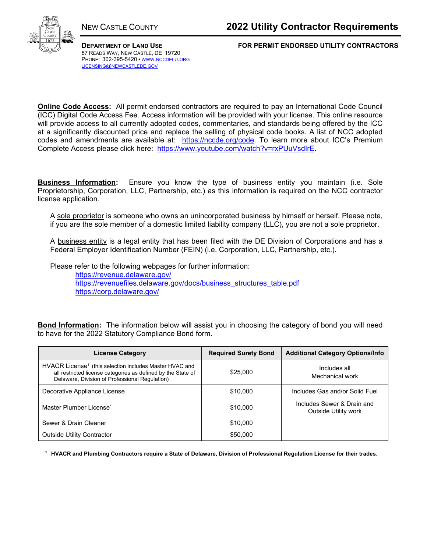

87 READS WAY, NEW CASTLE, DE 19720 PHONE: 302-395-5420 • WWW.NCCDELU.ORG LICENSING@NEWCASTLEDE.GOV

**DEPARTMENT OF LAND USE FOR PERMIT ENDORSED UTILITY CONTRACTORS**

**Online Code Access:** All permit endorsed contractors are required to pay an International Code Council (ICC) Digital Code Access Fee. Access information will be provided with your license. This online resource will provide access to all currently adopted codes, commentaries, and standards being offered by the ICC at a significantly discounted price and replace the selling of physical code books. A list of NCC adopted codes and amendments are available at: https://nccde.org/code. To learn more about ICC's Premium Complete Access please click here: https://www.youtube.com/watch?v=rxPUuVsdIrE.

**Business Information:** Ensure you know the type of business entity you maintain (i.e. Sole Proprietorship, Corporation, LLC, Partnership, etc.) as this information is required on the NCC contractor license application.

A sole proprietor is someone who owns an unincorporated business by himself or herself. Please note, if you are the sole member of a domestic limited liability company (LLC), you are not a sole proprietor.

A business entity is a legal entity that has been filed with the DE Division of Corporations and has a Federal Employer Identification Number (FEIN) (i.e. Corporation, LLC, Partnership, etc.).

Please refer to the following webpages for further information:

https://revenue.delaware.gov/ https://revenuefiles.delaware.gov/docs/business\_structures\_table.pdf https://corp.delaware.gov/

**Bond Information:** The information below will assist you in choosing the category of bond you will need to have for the 2022 Statutory Compliance Bond form.

| <b>License Category</b>                                                                                                                                                               | <b>Required Surety Bond</b> | <b>Additional Category Options/Info</b>            |
|---------------------------------------------------------------------------------------------------------------------------------------------------------------------------------------|-----------------------------|----------------------------------------------------|
| HVACR License <sup>1</sup> (this selection includes Master HVAC and<br>all restricted license categories as defined by the State of<br>Delaware, Division of Professional Regulation) | \$25,000                    | Includes all<br>Mechanical work                    |
| Decorative Appliance License                                                                                                                                                          | \$10,000                    | Includes Gas and/or Solid Fuel                     |
| Master Plumber License                                                                                                                                                                | \$10,000                    | Includes Sewer & Drain and<br>Outside Utility work |
| Sewer & Drain Cleaner                                                                                                                                                                 | \$10,000                    |                                                    |
| <b>Outside Utility Contractor</b>                                                                                                                                                     | \$50,000                    |                                                    |

**1 HVACR and Plumbing Contractors require a State of Delaware, Division of Professional Regulation License for their trades**.